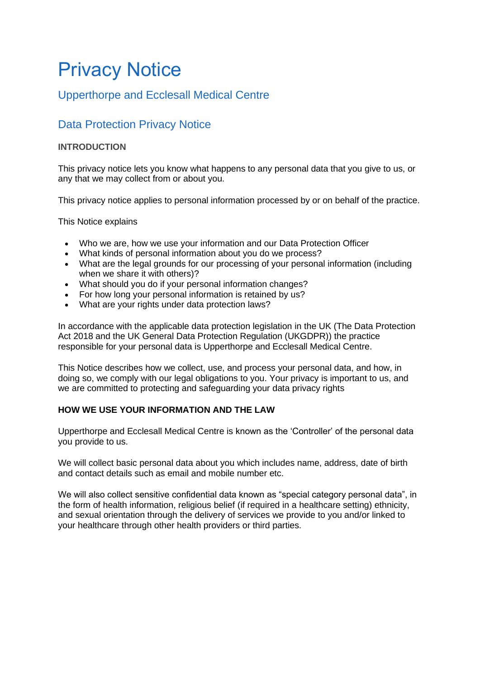# Privacy Notice

# Upperthorpe and Ecclesall Medical Centre

# Data Protection Privacy Notice

# **INTRODUCTION**

This privacy notice lets you know what happens to any personal data that you give to us, or any that we may collect from or about you.

This privacy notice applies to personal information processed by or on behalf of the practice.

This Notice explains

- Who we are, how we use your information and our Data Protection Officer
- What kinds of personal information about you do we process?
- What are the legal grounds for our processing of your personal information (including when we share it with others)?
- What should you do if your personal information changes?
- For how long your personal information is retained by us?
- What are your rights under data protection laws?

In accordance with the applicable data protection legislation in the UK (The Data Protection Act 2018 and the UK General Data Protection Regulation (UKGDPR)) the practice responsible for your personal data is Upperthorpe and Ecclesall Medical Centre.

This Notice describes how we collect, use, and process your personal data, and how, in doing so, we comply with our legal obligations to you. Your privacy is important to us, and we are committed to protecting and safeguarding your data privacy rights

# **HOW WE USE YOUR INFORMATION AND THE LAW**

Upperthorpe and Ecclesall Medical Centre is known as the 'Controller' of the personal data you provide to us.

We will collect basic personal data about you which includes name, address, date of birth and contact details such as email and mobile number etc.

We will also collect sensitive confidential data known as "special category personal data", in the form of health information, religious belief (if required in a healthcare setting) ethnicity, and sexual orientation through the delivery of services we provide to you and/or linked to your healthcare through other health providers or third parties.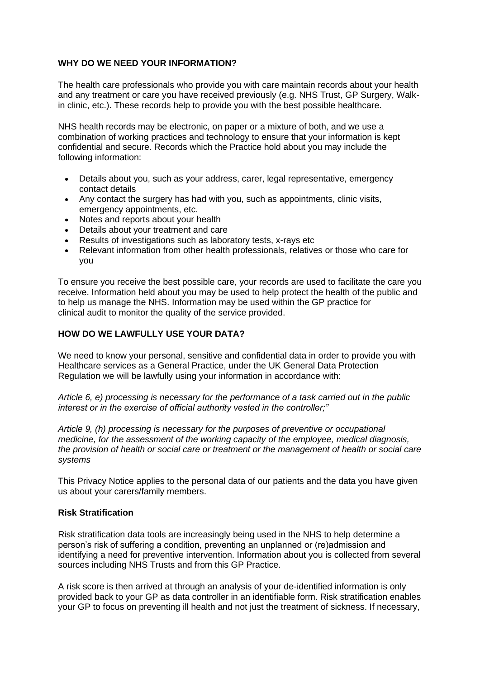#### **WHY DO WE NEED YOUR INFORMATION?**

The health care professionals who provide you with care maintain records about your health and any treatment or care you have received previously (e.g. NHS Trust, GP Surgery, Walkin clinic, etc.). These records help to provide you with the best possible healthcare.

NHS health records may be electronic, on paper or a mixture of both, and we use a combination of working practices and technology to ensure that your information is kept confidential and secure. Records which the Practice hold about you may include the following information:

- Details about you, such as your address, carer, legal representative, emergency contact details
- Any contact the surgery has had with you, such as appointments, clinic visits, emergency appointments, etc.
- Notes and reports about your health
- Details about your treatment and care
- Results of investigations such as laboratory tests, x-rays etc
- Relevant information from other health professionals, relatives or those who care for you

To ensure you receive the best possible care, your records are used to facilitate the care you receive. Information held about you may be used to help protect the health of the public and to help us manage the NHS. Information may be used within the GP practice for clinical audit to monitor the quality of the service provided.

#### **HOW DO WE LAWFULLY USE YOUR DATA?**

We need to know your personal, sensitive and confidential data in order to provide you with Healthcare services as a General Practice, under the UK General Data Protection Regulation we will be lawfully using your information in accordance with:

*Article 6, e) processing is necessary for the performance of a task carried out in the public interest or in the exercise of official authority vested in the controller;"*

*Article 9, (h) processing is necessary for the purposes of preventive or occupational medicine, for the assessment of the working capacity of the employee, medical diagnosis, the provision of health or social care or treatment or the management of health or social care systems*

This Privacy Notice applies to the personal data of our patients and the data you have given us about your carers/family members.

#### **Risk Stratification**

Risk stratification data tools are increasingly being used in the NHS to help determine a person's risk of suffering a condition, preventing an unplanned or (re)admission and identifying a need for preventive intervention. Information about you is collected from several sources including NHS Trusts and from this GP Practice.

A risk score is then arrived at through an analysis of your de-identified information is only provided back to your GP as data controller in an identifiable form. Risk stratification enables your GP to focus on preventing ill health and not just the treatment of sickness. If necessary,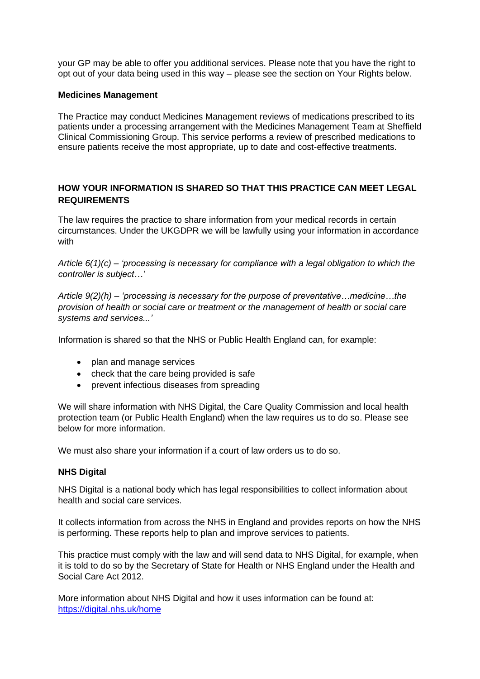your GP may be able to offer you additional services. Please note that you have the right to opt out of your data being used in this way – please see the section on Your Rights below.

#### **Medicines Management**

The Practice may conduct Medicines Management reviews of medications prescribed to its patients under a processing arrangement with the Medicines Management Team at Sheffield Clinical Commissioning Group. This service performs a review of prescribed medications to ensure patients receive the most appropriate, up to date and cost-effective treatments.

## **HOW YOUR INFORMATION IS SHARED SO THAT THIS PRACTICE CAN MEET LEGAL REQUIREMENTS**

The law requires the practice to share information from your medical records in certain circumstances. Under the UKGDPR we will be lawfully using your information in accordance with

*Article 6(1)(c) – 'processing is necessary for compliance with a legal obligation to which the controller is subject…'*

*Article 9(2)(h) – 'processing is necessary for the purpose of preventative…medicine…the provision of health or social care or treatment or the management of health or social care systems and services...'*

Information is shared so that the NHS or Public Health England can, for example:

- plan and manage services
- check that the care being provided is safe
- prevent infectious diseases from spreading

We will share information with NHS Digital, the Care Quality Commission and local health protection team (or Public Health England) when the law requires us to do so. Please see below for more information.

We must also share your information if a court of law orders us to do so.

#### **NHS Digital**

NHS Digital is a national body which has legal responsibilities to collect information about health and social care services.

It collects information from across the NHS in England and provides reports on how the NHS is performing. These reports help to plan and improve services to patients.

This practice must comply with the law and will send data to NHS Digital, for example, when it is told to do so by the Secretary of State for Health or NHS England under the Health and Social Care Act 2012.

More information about NHS Digital and how it uses information can be found at: <https://digital.nhs.uk/home>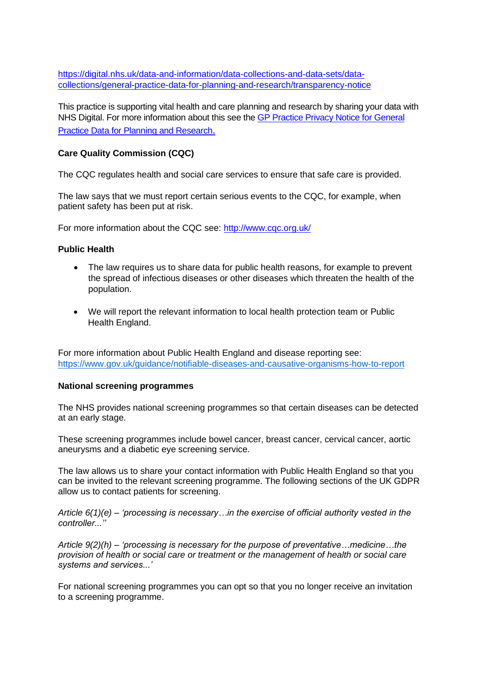[https://digital.nhs.uk/data-and-information/data-collections-and-data-sets/data](https://digital.nhs.uk/data-and-information/data-collections-and-data-sets/data-collections/general-practice-data-for-planning-and-research/transparency-notice)[collections/general-practice-data-for-planning-and-research/transparency-notice](https://digital.nhs.uk/data-and-information/data-collections-and-data-sets/data-collections/general-practice-data-for-planning-and-research/transparency-notice)

This practice is supporting vital health and care planning and research by sharing your data with NHS Digital. For more information about this see the GP [Practice Privacy Notice for General](https://digital.nhs.uk/data-and-information/data-collections-and-data-sets/data-collections/general-practice-data-for-planning-and-research/gp-privacy-notice)  [Practice Data for Planning and Research](https://digital.nhs.uk/data-and-information/data-collections-and-data-sets/data-collections/general-practice-data-for-planning-and-research/gp-privacy-notice).

#### **Care Quality Commission (CQC)**

The CQC regulates health and social care services to ensure that safe care is provided.

The law says that we must report certain serious events to the CQC, for example, when patient safety has been put at risk.

For more information about the CQC see:<http://www.cqc.org.uk/>

#### **Public Health**

- The law requires us to share data for public health reasons, for example to prevent the spread of infectious diseases or other diseases which threaten the health of the population.
- We will report the relevant information to local health protection team or Public Health England.

For more information about Public Health England and disease reporting see: <https://www.gov.uk/guidance/notifiable-diseases-and-causative-organisms-how-to-report>

#### **National screening programmes**

The NHS provides national screening programmes so that certain diseases can be detected at an early stage.

These screening programmes include bowel cancer, breast cancer, cervical cancer, aortic aneurysms and a diabetic eye screening service.

The law allows us to share your contact information with Public Health England so that you can be invited to the relevant screening programme. The following sections of the UK GDPR allow us to contact patients for screening.

*Article 6(1)(e) – 'processing is necessary…in the exercise of official authority vested in the controller...''*

*Article 9(2)(h) – 'processing is necessary for the purpose of preventative…medicine…the provision of health or social care or treatment or the management of health or social care systems and services...'*

For national screening programmes you can opt so that you no longer receive an invitation to a screening programme.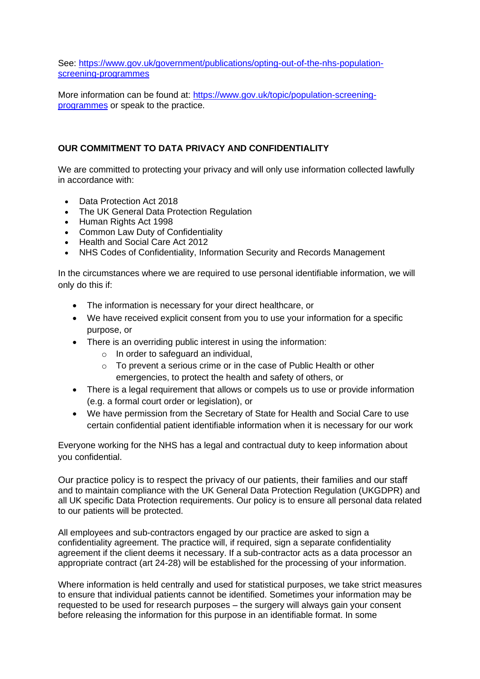See: [https://www.gov.uk/government/publications/opting-out-of-the-nhs-population](https://www.gov.uk/government/publications/opting-out-of-the-nhs-population-screening-programmes)[screening-programmes](https://www.gov.uk/government/publications/opting-out-of-the-nhs-population-screening-programmes)

More information can be found at: [https://www.gov.uk/topic/population-screening](https://www.gov.uk/topic/population-screening-programmes)[programmes](https://www.gov.uk/topic/population-screening-programmes) or speak to the practice.

#### **OUR COMMITMENT TO DATA PRIVACY AND CONFIDENTIALITY**

We are committed to protecting your privacy and will only use information collected lawfully in accordance with:

- Data Protection Act 2018
- The UK General Data Protection Regulation
- Human Rights Act 1998
- Common Law Duty of Confidentiality
- Health and Social Care Act 2012
- NHS Codes of Confidentiality, Information Security and Records Management

In the circumstances where we are required to use personal identifiable information, we will only do this if:

- The information is necessary for your direct healthcare, or
- We have received explicit consent from you to use your information for a specific purpose, or
- There is an overriding public interest in using the information:
	- o In order to safeguard an individual,
	- o To prevent a serious crime or in the case of Public Health or other emergencies, to protect the health and safety of others, or
- There is a legal requirement that allows or compels us to use or provide information (e.g. a formal court order or legislation), or
- We have permission from the Secretary of State for Health and Social Care to use certain confidential patient identifiable information when it is necessary for our work

Everyone working for the NHS has a legal and contractual duty to keep information about you confidential.

Our practice policy is to respect the privacy of our patients, their families and our staff and to maintain compliance with the UK General Data Protection Regulation (UKGDPR) and all UK specific Data Protection requirements. Our policy is to ensure all personal data related to our patients will be protected.

All employees and sub-contractors engaged by our practice are asked to sign a confidentiality agreement. The practice will, if required, sign a separate confidentiality agreement if the client deems it necessary. If a sub-contractor acts as a data processor an appropriate contract (art 24-28) will be established for the processing of your information.

Where information is held centrally and used for statistical purposes, we take strict measures to ensure that individual patients cannot be identified. Sometimes your information may be requested to be used for research purposes – the surgery will always gain your consent before releasing the information for this purpose in an identifiable format. In some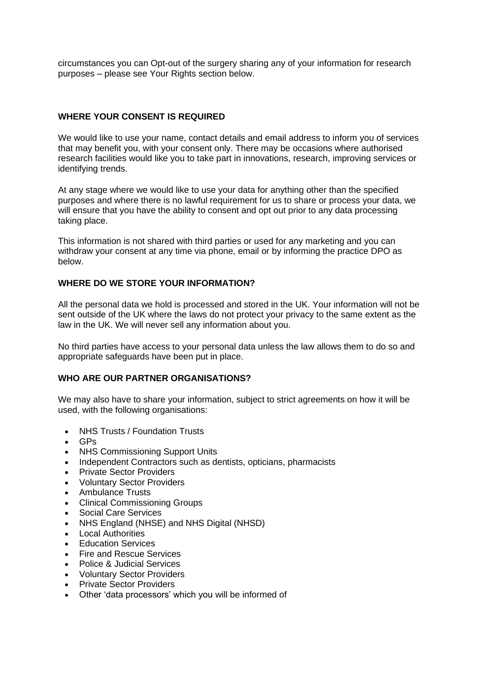circumstances you can Opt-out of the surgery sharing any of your information for research purposes – please see Your Rights section below.

## **WHERE YOUR CONSENT IS REQUIRED**

We would like to use your name, contact details and email address to inform you of services that may benefit you, with your consent only. There may be occasions where authorised research facilities would like you to take part in innovations, research, improving services or identifying trends.

At any stage where we would like to use your data for anything other than the specified purposes and where there is no lawful requirement for us to share or process your data, we will ensure that you have the ability to consent and opt out prior to any data processing taking place.

This information is not shared with third parties or used for any marketing and you can withdraw your consent at any time via phone, email or by informing the practice DPO as below.

#### **WHERE DO WE STORE YOUR INFORMATION?**

All the personal data we hold is processed and stored in the UK. Your information will not be sent outside of the UK where the laws do not protect your privacy to the same extent as the law in the UK. We will never sell any information about you.

No third parties have access to your personal data unless the law allows them to do so and appropriate safeguards have been put in place.

#### **WHO ARE OUR PARTNER ORGANISATIONS?**

We may also have to share your information, subject to strict agreements on how it will be used, with the following organisations:

- NHS Trusts / Foundation Trusts
- GPs
- NHS Commissioning Support Units
- Independent Contractors such as dentists, opticians, pharmacists
- Private Sector Providers
- Voluntary Sector Providers
- Ambulance Trusts
- Clinical Commissioning Groups
- Social Care Services
- NHS England (NHSE) and NHS Digital (NHSD)
- **Local Authorities**
- Education Services
- Fire and Rescue Services
- Police & Judicial Services
- Voluntary Sector Providers
- Private Sector Providers
- Other 'data processors' which you will be informed of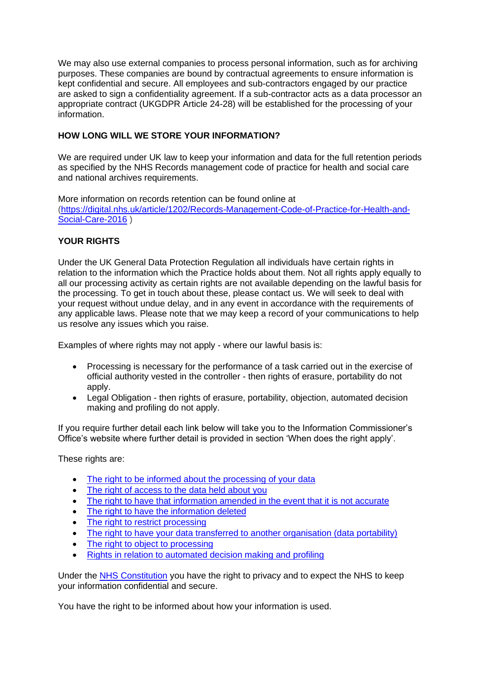We may also use external companies to process personal information, such as for archiving purposes. These companies are bound by contractual agreements to ensure information is kept confidential and secure. All employees and sub-contractors engaged by our practice are asked to sign a confidentiality agreement. If a sub-contractor acts as a data processor an appropriate contract (UKGDPR Article 24-28) will be established for the processing of your information.

## **HOW LONG WILL WE STORE YOUR INFORMATION?**

We are required under UK law to keep your information and data for the full retention periods as specified by the NHS Records management code of practice for health and social care and national archives requirements.

More information on records retention can be found online at [\(https://digital.nhs.uk/article/1202/Records-Management-Code-of-Practice-for-Health-and-](https://digital.nhs.uk/article/1202/Records-Management-Code-of-Practice-for-Health-and-Social-Care-2016)[Social-Care-2016](https://digital.nhs.uk/article/1202/Records-Management-Code-of-Practice-for-Health-and-Social-Care-2016) )

## **YOUR RIGHTS**

Under the UK General Data Protection Regulation all individuals have certain rights in relation to the information which the Practice holds about them. Not all rights apply equally to all our processing activity as certain rights are not available depending on the lawful basis for the processing. To get in touch about these, please contact us. We will seek to deal with your request without undue delay, and in any event in accordance with the requirements of any applicable laws. Please note that we may keep a record of your communications to help us resolve any issues which you raise.

Examples of where rights may not apply - where our lawful basis is:

- Processing is necessary for the performance of a task carried out in the exercise of official authority vested in the controller - then rights of erasure, portability do not apply.
- Legal Obligation then rights of erasure, portability, objection, automated decision making and profiling do not apply.

If you require further detail each link below will take you to the Information Commissioner's Office's website where further detail is provided in section 'When does the right apply'.

These rights are:

- [The right to be informed about the processing of your data](https://ico.org.uk/your-data-matters/your-right-to-be-informed-if-your-personal-data-is-being-used/)
- [The right of access to the data held about you](https://ico.org.uk/your-data-matters/your-right-of-access/)
- [The right to have that information amended in the event that it is not accurate](https://ico.org.uk/your-data-matters/your-right-to-get-your-data-corrected/)
- [The right to have the information deleted](https://ico.org.uk/your-data-matters/your-right-to-get-your-data-deleted/)
- [The right to restrict processing](https://ico.org.uk/your-data-matters/your-right-to-limit-how-organisations-use-your-data/)
- [The right to have your data transferred to another organisation \(data portability\)](https://ico.org.uk/your-data-matters/your-right-to-data-portability/)
- [The right to object to processing](https://ico.org.uk/your-data-matters/the-right-to-object-to-the-use-of-your-data/)
- [Rights in relation to automated decision making and profiling](https://ico.org.uk/your-data-matters/your-rights-relating-to-decisions-being-made-about-you-without-human-involvement/)

Under the [NHS Constitution](https://www.gov.uk/government/publications/the-nhs-constitution-for-england/the-nhs-constitution-for-england) you have the right to privacy and to expect the NHS to keep your information confidential and secure.

You have the right to be informed about how your information is used.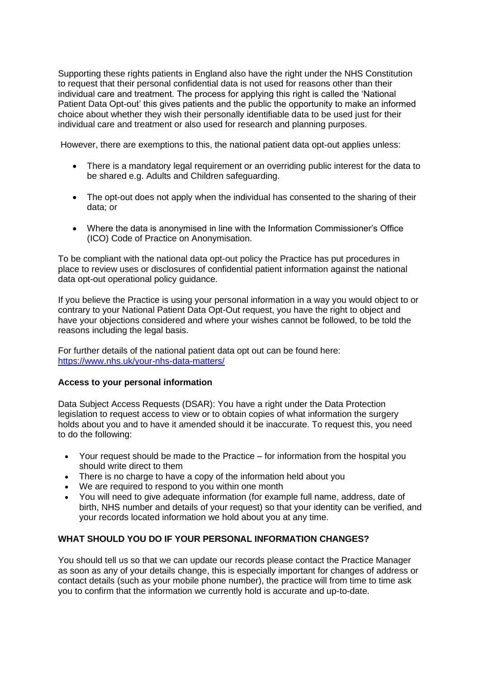Supporting these rights patients in England also have the right under the NHS Constitution to request that their personal confidential data is not used for reasons other than their individual care and treatment. The process for applying this right is called the 'National Patient Data Opt-out' this gives patients and the public the opportunity to make an informed choice about whether they wish their personally identifiable data to be used just for their individual care and treatment or also used for research and planning purposes.

However, there are exemptions to this, the national patient data opt-out applies unless:

- There is a mandatory legal requirement or an overriding public interest for the data to be shared e.g. Adults and Children safeguarding.
- The opt-out does not apply when the individual has consented to the sharing of their data; or
- Where the data is anonymised in line with the Information Commissioner's Office (ICO) Code of Practice on Anonymisation.

To be compliant with the national data opt-out policy the Practice has put procedures in place to review uses or disclosures of confidential patient information against the national data opt-out operational policy guidance.

If you believe the Practice is using your personal information in a way you would object to or contrary to your National Patient Data Opt-Out request, you have the right to object and have your objections considered and where your wishes cannot be followed, to be told the reasons including the legal basis.

For further details of the national patient data opt out can be found here: <https://www.nhs.uk/your-nhs-data-matters/>

#### **Access to your personal information**

Data Subject Access Requests (DSAR): You have a right under the Data Protection legislation to request access to view or to obtain copies of what information the surgery holds about you and to have it amended should it be inaccurate. To request this, you need to do the following:

- Your request should be made to the Practice for information from the hospital you should write direct to them
- There is no charge to have a copy of the information held about you
- We are required to respond to you within one month
- You will need to give adequate information (for example full name, address, date of birth, NHS number and details of your request) so that your identity can be verified, and your records located information we hold about you at any time.

#### **WHAT SHOULD YOU DO IF YOUR PERSONAL INFORMATION CHANGES?**

You should tell us so that we can update our records please contact the Practice Manager as soon as any of your details change, this is especially important for changes of address or contact details (such as your mobile phone number), the practice will from time to time ask you to confirm that the information we currently hold is accurate and up-to-date.